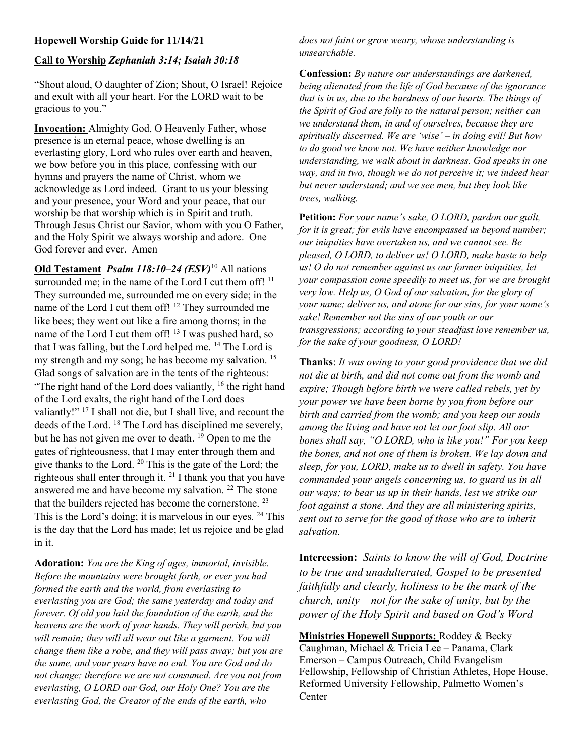## Hopewell Worship Guide for 11/14/21

## Call to Worship Zephaniah 3:14; Isaiah 30:18

"Shout aloud, O daughter of Zion; Shout, O Israel! Rejoice and exult with all your heart. For the LORD wait to be gracious to you."

Invocation: Almighty God, O Heavenly Father, whose presence is an eternal peace, whose dwelling is an everlasting glory, Lord who rules over earth and heaven, we bow before you in this place, confessing with our hymns and prayers the name of Christ, whom we acknowledge as Lord indeed. Grant to us your blessing and your presence, your Word and your peace, that our worship be that worship which is in Spirit and truth. Through Jesus Christ our Savior, whom with you O Father, and the Holy Spirit we always worship and adore. One God forever and ever. Amen

Old Testament Psalm 118:10-24 (ESV)<sup>10</sup> All nations surrounded me; in the name of the Lord I cut them off!<sup>11</sup> They surrounded me, surrounded me on every side; in the name of the Lord I cut them off! <sup>12</sup> They surrounded me like bees; they went out like a fire among thorns; in the name of the Lord I cut them off!<sup>13</sup> I was pushed hard, so that I was falling, but the Lord helped me. <sup>14</sup> The Lord is my strength and my song; he has become my salvation.<sup>15</sup> Glad songs of salvation are in the tents of the righteous: "The right hand of the Lord does valiantly,  $16$  the right hand of the Lord exalts, the right hand of the Lord does valiantly!" <sup>17</sup> I shall not die, but I shall live, and recount the deeds of the Lord. <sup>18</sup> The Lord has disciplined me severely, but he has not given me over to death.  $19$  Open to me the gates of righteousness, that I may enter through them and give thanks to the Lord. <sup>20</sup> This is the gate of the Lord; the righteous shall enter through it.  $21$  I thank you that you have answered me and have become my salvation. <sup>22</sup> The stone that the builders rejected has become the cornerstone. <sup>23</sup> This is the Lord's doing; it is marvelous in our eyes. <sup>24</sup> This is the day that the Lord has made; let us rejoice and be glad in it.

Adoration: You are the King of ages, immortal, invisible. Before the mountains were brought forth, or ever you had formed the earth and the world, from everlasting to everlasting you are God; the same yesterday and today and forever. Of old you laid the foundation of the earth, and the heavens are the work of your hands. They will perish, but you will remain; they will all wear out like a garment. You will change them like a robe, and they will pass away; but you are the same, and your years have no end. You are God and do not change; therefore we are not consumed. Are you not from everlasting, O LORD our God, our Holy One? You are the everlasting God, the Creator of the ends of the earth, who

does not faint or grow weary, whose understanding is unsearchable.

Confession: By nature our understandings are darkened, being alienated from the life of God because of the ignorance that is in us, due to the hardness of our hearts. The things of the Spirit of God are folly to the natural person; neither can we understand them, in and of ourselves, because they are spiritually discerned. We are 'wise' – in doing evil! But how to do good we know not. We have neither knowledge nor understanding, we walk about in darkness. God speaks in one way, and in two, though we do not perceive it; we indeed hear but never understand; and we see men, but they look like trees, walking.

Petition: For your name's sake, O LORD, pardon our guilt, for it is great; for evils have encompassed us beyond number; our iniquities have overtaken us, and we cannot see. Be pleased, O LORD, to deliver us! O LORD, make haste to help us! O do not remember against us our former iniquities, let your compassion come speedily to meet us, for we are brought very low. Help us, O God of our salvation, for the glory of your name; deliver us, and atone for our sins, for your name's sake! Remember not the sins of our youth or our transgressions; according to your steadfast love remember us, for the sake of your goodness, O LORD!

Thanks: It was owing to your good providence that we did not die at birth, and did not come out from the womb and expire; Though before birth we were called rebels, yet by your power we have been borne by you from before our birth and carried from the womb; and you keep our souls among the living and have not let our foot slip. All our bones shall say, "O LORD, who is like you!" For you keep the bones, and not one of them is broken. We lay down and sleep, for you, LORD, make us to dwell in safety. You have commanded your angels concerning us, to guard us in all our ways; to bear us up in their hands, lest we strike our foot against a stone. And they are all ministering spirits, sent out to serve for the good of those who are to inherit salvation.

Intercession: Saints to know the will of God, Doctrine to be true and unadulterated, Gospel to be presented faithfully and clearly, holiness to be the mark of the church, unity – not for the sake of unity, but by the power of the Holy Spirit and based on God's Word

Ministries Hopewell Supports: Roddey & Becky Caughman, Michael & Tricia Lee – Panama, Clark Emerson – Campus Outreach, Child Evangelism Fellowship, Fellowship of Christian Athletes, Hope House, Reformed University Fellowship, Palmetto Women's **Center**